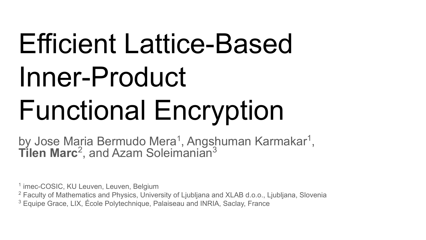# Efficient Lattice-Based Inner-Product Functional Encryption

by Jose Maria Bermudo Mera<sup>1</sup>, Angshuman Karmakar<sup>1</sup>, **Tilen Marc**<sup>2</sup>, and Azam Soleimanian<sup>3</sup>

1 imec-COSIC, KU Leuven, Leuven, Belgium

<sup>2</sup> Faculty of Mathematics and Physics, University of Ljubljana and XLAB d.o.o., Ljubljana, Slovenia

<sup>3</sup> Equipe Grace, LIX, École Polytechnique, Palaiseau and INRIA, Saclay, France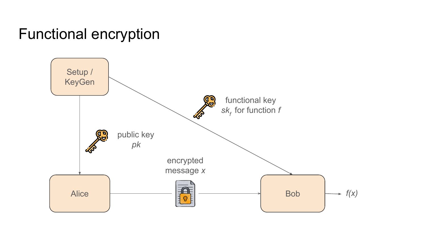### Functional encryption

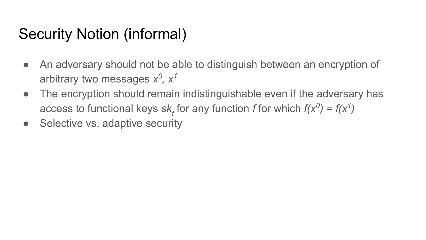### Security Notion (informal)

- An adversary should not be able to distinguish between an encryption of arbitrary two messages  $x^0$ ,  $x^1$
- The encryption should remain indistinguishable even if the adversary has access to functional keys  $sk_f$  for any function *f* for which  $f(x^0) = f(x^1)$
- Selective vs. adaptive security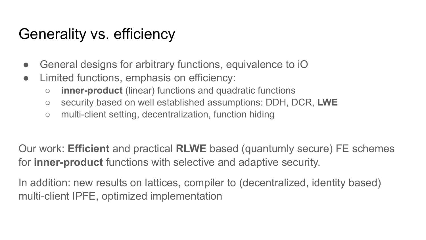## Generality vs. efficiency

- General designs for arbitrary functions, equivalence to iO
- Limited functions, emphasis on efficiency:
	- **inner-product** (linear) functions and quadratic functions
	- security based on well established assumptions: DDH, DCR, **LWE**
	- multi-client setting, decentralization, function hiding

Our work: **Efficient** and practical **RLWE** based (quantumly secure) FE schemes for **inner-product** functions with selective and adaptive security.

In addition: new results on lattices, compiler to (decentralized, identity based) multi-client IPFE, optimized implementation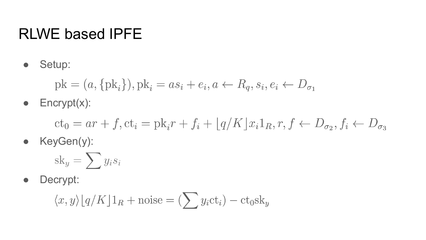### RLWE based IPFE

● Setup:

$$
pk = (a, {pki}), pki = asi + ei, a \leftarrow Rq, si, ei \leftarrow Dσ1
$$

 $\bullet$  Encrypt $(x)$ :

 $ct_0 = ar + f, ct_i = pk_i r + f_i + |q/K| x_i 1_R, r, f \leftarrow D_{\sigma_2}, f_i \leftarrow D_{\sigma_3}$ 

● KeyGen(y):

$$
sk_y = \sum y_i s_i
$$

● Decrypt:

$$
\langle x, y \rangle \lfloor q/K \rfloor 1_R + \text{noise} = (\sum y_i \text{ct}_i) - \text{ct}_0 \text{sk}_y
$$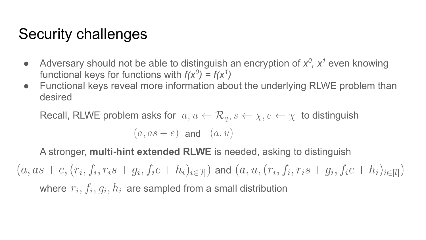### Security challenges

- Adversary should not be able to distinguish an encryption of  $x^0$ ,  $x^1$  even knowing functional keys for functions with  $f(x^0) = f(x^1)$
- Functional keys reveal more information about the underlying RLWE problem than desired

Recall, RLWE problem asks for  $a, u \leftarrow \mathcal{R}_q, s \leftarrow \chi, e \leftarrow \chi$  to distinguish

 $(a, as + e)$  and  $(a, u)$ 

A stronger, **multi-hint extended RLWE** is needed, asking to distinguish

 $(a, as + e, (r_i, f_i, r_i s + g_i, f_i e + h_i)_{i \in [l]}$  and  $(a, u, (r_i, f_i, r_i s + g_i, f_i e + h_i)_{i \in [l]})$ where  $r_i$ ,  $f_i$ ,  $q_i$ ,  $h_i$  are sampled from a small distribution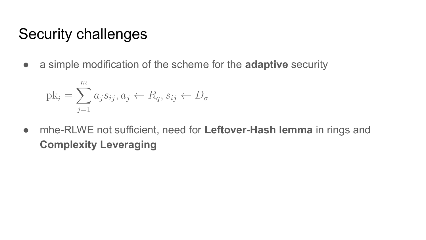#### Security challenges

● a simple modification of the scheme for the **adaptive** security

$$
\mathrm{pk}_{i} = \sum_{j=1}^{m} a_{j} s_{ij}, a_{j} \leftarrow R_{q}, s_{ij} \leftarrow D_{\sigma}
$$

● mhe-RLWE not sufficient, need for **Leftover-Hash lemma** in rings and **Complexity Leveraging**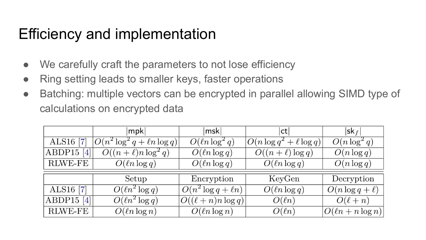### Efficiency and implementation

- We carefully craft the parameters to not lose efficiency
- Ring setting leads to smaller keys, faster operations
- Batching: multiple vectors can be encrypted in parallel allowing SIMD type of calculations on encrypted data

|                             | mpk                               | $\vert$ msk $\vert$      | ct                            | $ sk_f $               |
|-----------------------------|-----------------------------------|--------------------------|-------------------------------|------------------------|
| ALS16 [7]                   | $O(n^2 \log^2 q + \ell n \log q)$ | $O(\ln \log^2 q)$        | $O(n \log q^2 + \ell \log q)$ | $O(n \log^2 q)$        |
| ABDP15 $[4]$                | $O((n+\ell)n\log^2 q)$            | $O(\ln \log q)$          | $O((n+\ell)\log q)$           | $O(n \log q)$          |
| RLWE-FE                     | $O(\ln \log q)$                   | $O(\ln \log q)$          | $O(\ln \log q)$               | $O(n \log q)$          |
|                             | Setup                             | Encryption               | KeyGen                        | Decryption             |
| ALS16 [7]                   | $O(\ell n^2 \log q)$              | $O(n^2 \log q + \ell n)$ | $O(\ln \log q)$               | $O(n \log q + \ell)$   |
| ABDP15<br>$\lceil 4 \rceil$ | $\overline{O(\ell n^2 \log q)}$   | $O((\ell+n)n\log q)$     | $O(\ell n)$                   | $O(\ell+n)$            |
| <b>RLWE-FE</b>              | $O(\ln \log n)$                   | $O(\ln \log n)$          | $O(\ell n)$                   | $O(\ell n + n \log n)$ |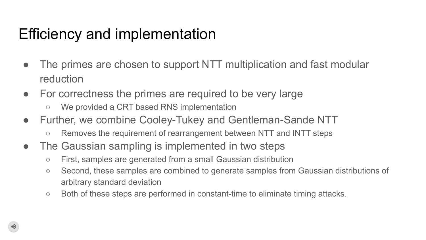## Efficiency and implementation

- The primes are chosen to support NTT multiplication and fast modular reduction
- For correctness the primes are required to be very large
	- We provided a CRT based RNS implementation
- Further, we combine Cooley-Tukey and Gentleman-Sande NTT
	- Removes the requirement of rearrangement between NTT and INTT steps
- The Gaussian sampling is implemented in two steps
	- First, samples are generated from a small Gaussian distribution
	- Second, these samples are combined to generate samples from Gaussian distributions of arbitrary standard deviation
	- Both of these steps are performed in constant-time to eliminate timing attacks.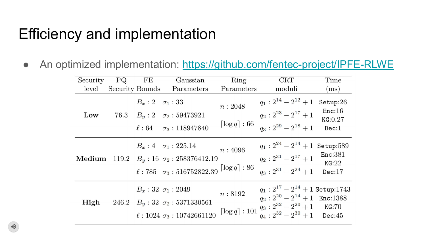#### Efficiency and implementation

• An optimized implementation:<https://github.com/fentec-project/IPFE-RLWE>

| Security | PQ.                    | FE                          | Gaussian                                                                                                                                            | Ring                                   | CRT                                                                                                                                                                            | Time                                   |
|----------|------------------------|-----------------------------|-----------------------------------------------------------------------------------------------------------------------------------------------------|----------------------------------------|--------------------------------------------------------------------------------------------------------------------------------------------------------------------------------|----------------------------------------|
| level    | <b>Security Bounds</b> |                             | Parameters                                                                                                                                          | Parameters                             | moduli                                                                                                                                                                         | (ms)                                   |
| Low      |                        | $B_x: 2 \quad \sigma_1: 33$ | 76.3 $B_y:2\quad \sigma_2:59473921$<br>$\ell: 64$ $\sigma_3: 118947840$                                                                             | n: 2048<br>$\lceil \log q \rceil : 66$ | $q_1: 2^{14} - 2^{12} + 1$<br>$q_2: 2^{23} - 2^{17} + 1$<br>$q_3:2^{29}-2^{18}+1$                                                                                              | Setup:26<br>Enc:16<br>KG:0.27<br>Dec:1 |
| Medium   |                        |                             | $B_x: 4 \quad \sigma_1: 225.14$<br>119.2 $B_y$ : 16 $\sigma_2$ : 258376412.19<br>$\ell$ : 785 $\sigma_3$ : 516752822.39 $\lceil \log q \rceil$ : 86 | n:4096                                 | $q_1: 2^{24} - 2^{14} + 1$ Setup:589<br>$q_2: 2^{31} - 2^{17} + 1$<br>$q_3: 2^{31} - 2^{24} + 1$                                                                               | Enc:381<br>KG:22<br>Dec:17             |
| High     |                        |                             | $B_x: 32\ \sigma_1: 2049$<br>246.2 $B_y: 32 \sigma_2: 5371330561$<br>$\ell$ : 1024 $\sigma_3$ : 10742661120                                         | n:8192                                 | $q_1: 2^{17} - 2^{14} + 1$ Setup:1743<br>$q_2: 2^{20} - 2^{14} + 1$ Enc:1388<br>$\lceil \log q \rceil$ : 101 $q_3$ : $2^{32} - 2^{20} + 1$ KG:70<br>$q_4: 2^{32} - 2^{30} + 1$ | Dec:45                                 |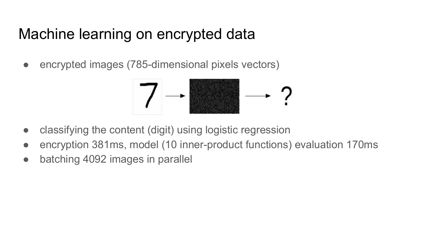#### Machine learning on encrypted data

• encrypted images (785-dimensional pixels vectors)



- classifying the content (digit) using logistic regression
- encryption 381ms, model (10 inner-product functions) evaluation 170ms
- batching 4092 images in parallel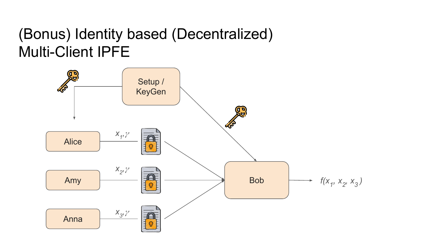### (Bonus) Identity based (Decentralized) Multi-Client IPFE